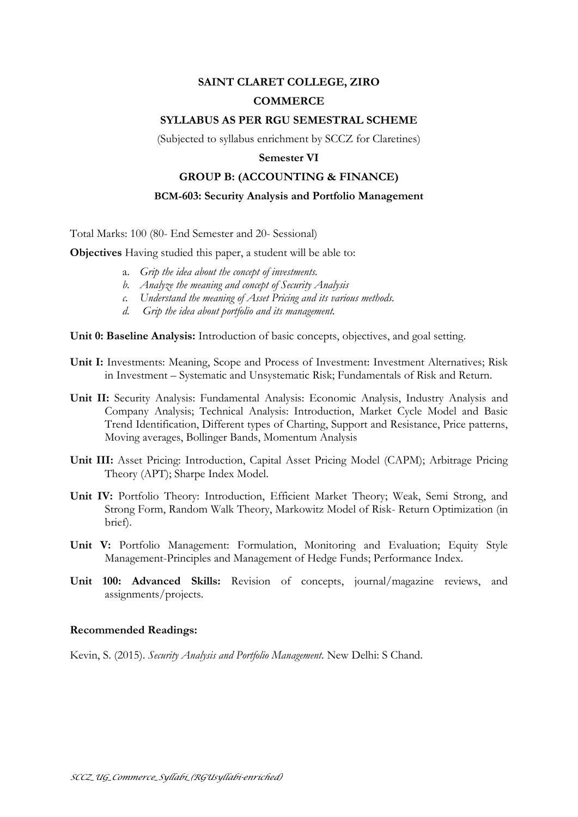# **SAINT CLARET COLLEGE, ZIRO**

# **COMMERCE**

## **SYLLABUS AS PER RGU SEMESTRAL SCHEME**

(Subjected to syllabus enrichment by SCCZ for Claretines)

## **Semester VI**

## **GROUP B: (ACCOUNTING & FINANCE)**

## **BCM-603: Security Analysis and Portfolio Management**

Total Marks: 100 (80- End Semester and 20- Sessional)

**Objectives** Having studied this paper, a student will be able to:

- a. *Grip the idea about the concept of investments.*
- *b. Analyze the meaning and concept of Security Analysis*
- *c. Understand the meaning of Asset Pricing and its various methods.*
- *d. Grip the idea about portfolio and its management.*

**Unit 0: Baseline Analysis:** Introduction of basic concepts, objectives, and goal setting.

- **Unit I:** Investments: Meaning, Scope and Process of Investment: Investment Alternatives; Risk in Investment – Systematic and Unsystematic Risk; Fundamentals of Risk and Return.
- **Unit II:** Security Analysis: Fundamental Analysis: Economic Analysis, Industry Analysis and Company Analysis; Technical Analysis: Introduction, Market Cycle Model and Basic Trend Identification, Different types of Charting, Support and Resistance, Price patterns, Moving averages, Bollinger Bands, Momentum Analysis
- **Unit III:** Asset Pricing: Introduction, Capital Asset Pricing Model (CAPM); Arbitrage Pricing Theory (APT); Sharpe Index Model.
- **Unit IV:** Portfolio Theory: Introduction, Efficient Market Theory; Weak, Semi Strong, and Strong Form, Random Walk Theory, Markowitz Model of Risk- Return Optimization (in brief).
- **Unit V:** Portfolio Management: Formulation, Monitoring and Evaluation; Equity Style Management-Principles and Management of Hedge Funds; Performance Index.
- **Unit 100: Advanced Skills:** Revision of concepts, journal/magazine reviews, and assignments/projects.

#### **Recommended Readings:**

Kevin, S. (2015). *Security Analysis and Portfolio Management*. New Delhi: S Chand.